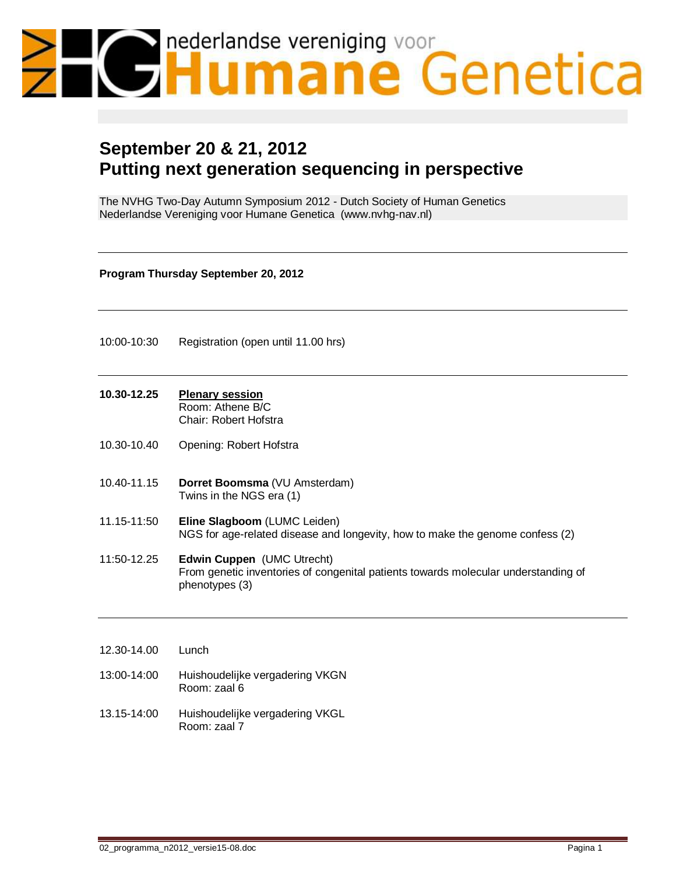# nederlandse vereniging voor<br>Humane Genetica

# **September 20 & 21, 2012 Putting next generation sequencing in perspective**

The NVHG Two-Day Autumn Symposium 2012 - Dutch Society of Human Genetics Nederlandse Vereniging voor Humane Genetica (www.nvhg-nav.nl)

**Program Thursday September 20, 2012**

10:00-10:30 Registration (open until 11.00 hrs)

## **10.30-12.25 Plenary session**

Room: Athene B/C Chair: Robert Hofstra

- 10.30-10.40 Opening: Robert Hofstra
- 10.40-11.15 **Dorret Boomsma** (VU Amsterdam) Twins in the NGS era (1)
- 11.15-11:50 **Eline Slagboom** (LUMC Leiden) NGS for age-related disease and longevity, how to make the genome confess (2)
- 11:50-12.25 **Edwin Cuppen** (UMC Utrecht) From genetic inventories of congenital patients towards molecular understanding of phenotypes (3)

12.30-14.00 Lunch 13:00-14:00 Huishoudelijke vergadering VKGN

- Room: zaal 6 13.15-14:00 Huishoudelijke vergadering VKGL
	- Room: zaal 7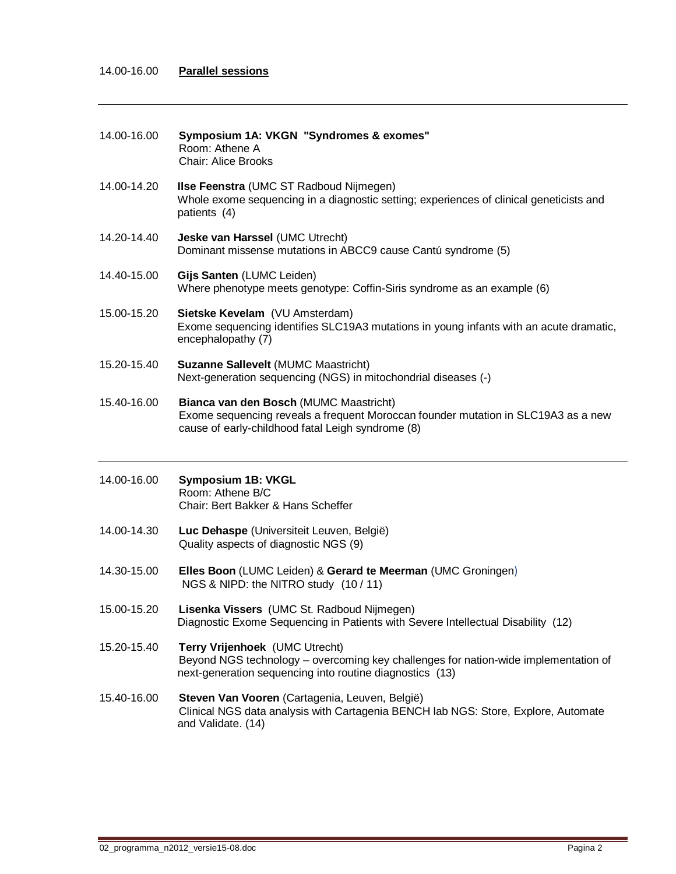### 14.00-16.00 **Parallel sessions**

| 14.00-16.00 | Symposium 1A: VKGN "Syndromes & exomes"<br>Room: Athene A<br><b>Chair: Alice Brooks</b>                                                                                           |
|-------------|-----------------------------------------------------------------------------------------------------------------------------------------------------------------------------------|
| 14.00-14.20 | Ilse Feenstra (UMC ST Radboud Nijmegen)<br>Whole exome sequencing in a diagnostic setting; experiences of clinical geneticists and<br>patients (4)                                |
| 14.20-14.40 | Jeske van Harssel (UMC Utrecht)<br>Dominant missense mutations in ABCC9 cause Cantú syndrome (5)                                                                                  |
| 14.40-15.00 | Gijs Santen (LUMC Leiden)<br>Where phenotype meets genotype: Coffin-Siris syndrome as an example (6)                                                                              |
| 15.00-15.20 | Sietske Kevelam (VU Amsterdam)<br>Exome sequencing identifies SLC19A3 mutations in young infants with an acute dramatic,<br>encephalopathy (7)                                    |
| 15.20-15.40 | <b>Suzanne Sallevelt (MUMC Maastricht)</b><br>Next-generation sequencing (NGS) in mitochondrial diseases (-)                                                                      |
| 15.40-16.00 | Bianca van den Bosch (MUMC Maastricht)<br>Exome sequencing reveals a frequent Moroccan founder mutation in SLC19A3 as a new<br>cause of early-childhood fatal Leigh syndrome (8)  |
|             |                                                                                                                                                                                   |
| 14.00-16.00 | <b>Symposium 1B: VKGL</b><br>Room: Athene B/C<br>Chair: Bert Bakker & Hans Scheffer                                                                                               |
| 14.00-14.30 | Luc Dehaspe (Universiteit Leuven, België)<br>Quality aspects of diagnostic NGS (9)                                                                                                |
| 14.30-15.00 | Elles Boon (LUMC Leiden) & Gerard te Meerman (UMC Groningen)<br>NGS & NIPD: the NITRO study (10 / 11)                                                                             |
| 15.00-15.20 | Lisenka Vissers (UMC St. Radboud Nijmegen)<br>Diagnostic Exome Sequencing in Patients with Severe Intellectual Disability (12)                                                    |
| 15.20-15.40 | Terry Vrijenhoek (UMC Utrecht)<br>Beyond NGS technology – overcoming key challenges for nation-wide implementation of<br>next-generation sequencing into routine diagnostics (13) |

J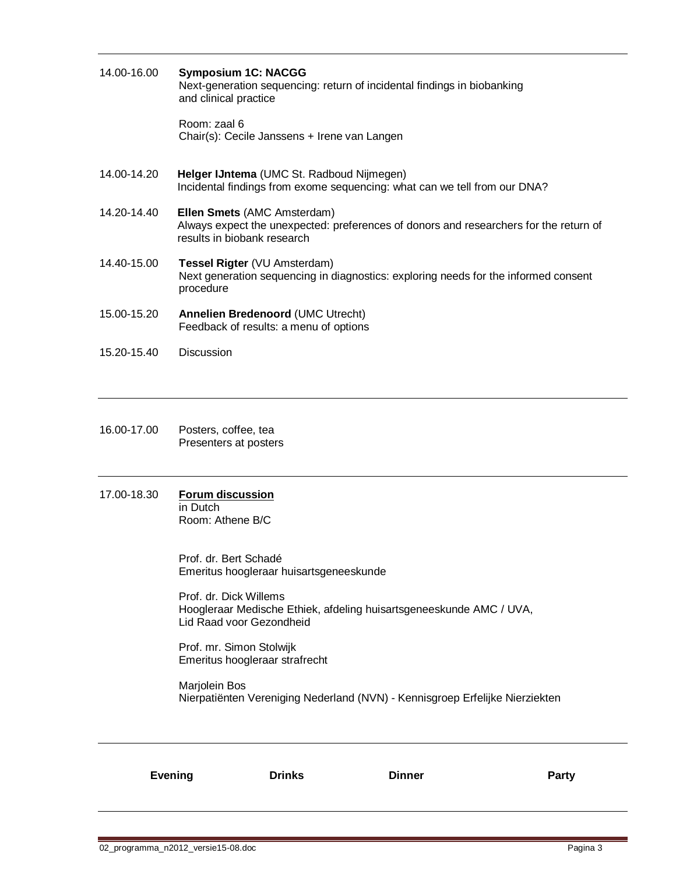| 14.00-16.00 | <b>Symposium 1C: NACGG</b><br>Next-generation sequencing: return of incidental findings in biobanking<br>and clinical practice                             |
|-------------|------------------------------------------------------------------------------------------------------------------------------------------------------------|
|             | Room: zaal 6<br>Chair(s): Cecile Janssens + Irene van Langen                                                                                               |
| 14.00-14.20 | Helger IJntema (UMC St. Radboud Nijmegen)<br>Incidental findings from exome sequencing: what can we tell from our DNA?                                     |
| 14.20-14.40 | <b>Ellen Smets (AMC Amsterdam)</b><br>Always expect the unexpected: preferences of donors and researchers for the return of<br>results in biobank research |
| 14.40-15.00 | <b>Tessel Rigter (VU Amsterdam)</b><br>Next generation sequencing in diagnostics: exploring needs for the informed consent<br>procedure                    |
| 15.00-15.20 | <b>Annelien Bredenoord (UMC Utrecht)</b><br>Feedback of results: a menu of options                                                                         |
| 15.20-15.40 | Discussion                                                                                                                                                 |

- 16.00-17.00 Posters, coffee, tea Presenters at posters
- 17.00-18.30 **Forum discussion** in Dutch

Room: Athene B/C

Prof. dr. Bert Schadé Emeritus hoogleraar huisartsgeneeskunde

Prof. dr. Dick Willems Hoogleraar Medische Ethiek, afdeling huisartsgeneeskunde AMC / UVA, Lid Raad voor Gezondheid

Prof. mr. Simon Stolwijk Emeritus hoogleraar strafrecht

Marjolein Bos Nierpatiënten Vereniging Nederland (NVN) - Kennisgroep Erfelijke Nierziekten

| <b>Evening</b> | <b>Drinks</b> | <b>Dinner</b> | <b>Party</b> |
|----------------|---------------|---------------|--------------|
|                |               |               |              |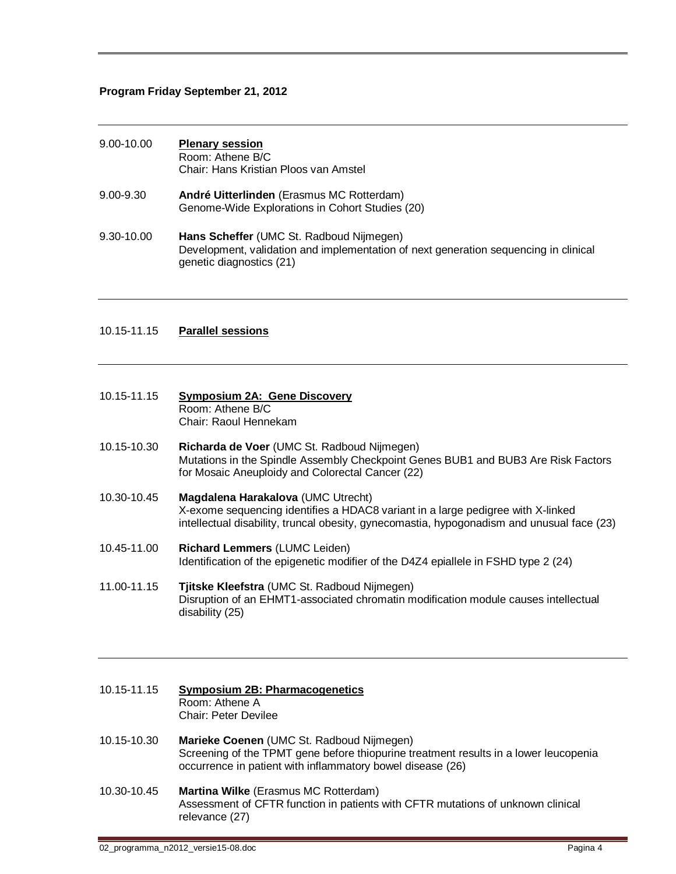### **Program Friday September 21, 2012**

| 9.00-10.00    | <b>Plenary session</b><br>Room: Athene B/C<br>Chair: Hans Kristian Ploos van Amstel                                                                          |
|---------------|--------------------------------------------------------------------------------------------------------------------------------------------------------------|
| $9.00 - 9.30$ | André Uitterlinden (Erasmus MC Rotterdam)<br>Genome-Wide Explorations in Cohort Studies (20)                                                                 |
| 9.30-10.00    | Hans Scheffer (UMC St. Radboud Nijmegen)<br>Development, validation and implementation of next generation sequencing in clinical<br>genetic diagnostics (21) |

### 10.15-11.15 **Parallel sessions**

| 10.15-11.15 | <b>Symposium 2A: Gene Discovery</b> |
|-------------|-------------------------------------|
|             | Room: Athene B/C                    |
|             | Chair: Raoul Hennekam               |

- 10.15-10.30 **Richarda de Voer** (UMC St. Radboud Nijmegen) Mutations in the Spindle Assembly Checkpoint Genes BUB1 and BUB3 Are Risk Factors for Mosaic Aneuploidy and Colorectal Cancer (22)
- 10.30-10.45 **Magdalena Harakalova** (UMC Utrecht) X-exome sequencing identifies a HDAC8 variant in a large pedigree with X-linked intellectual disability, truncal obesity, gynecomastia, hypogonadism and unusual face (23)
- 10.45-11.00 **Richard Lemmers** (LUMC Leiden) Identification of the epigenetic modifier of the D4Z4 epiallele in FSHD type 2 (24)
- 11.00-11.15 **Tjitske Kleefstra** (UMC St. Radboud Nijmegen) Disruption of an EHMT1-associated chromatin modification module causes intellectual disability (25)

### 10.15-11.15 **Symposium 2B: Pharmacogenetics** Room: Athene A Chair: Peter Devilee

- 10.15-10.30 **Marieke Coenen** (UMC St. Radboud Nijmegen) Screening of the TPMT gene before thiopurine treatment results in a lower leucopenia occurrence in patient with inflammatory bowel disease (26)
- 10.30-10.45 **Martina Wilke** (Erasmus MC Rotterdam) Assessment of CFTR function in patients with CFTR mutations of unknown clinical relevance (27)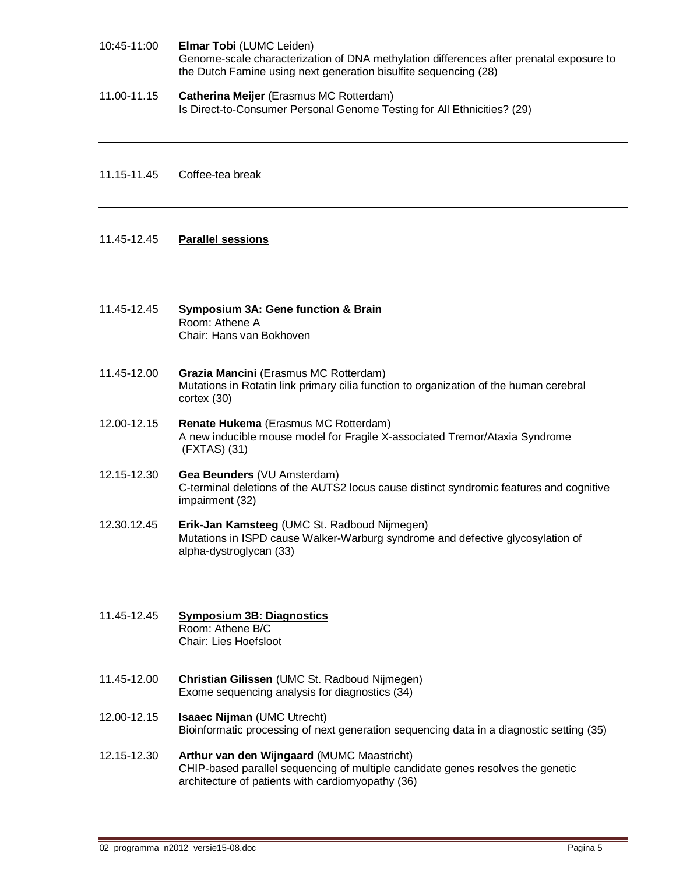- 10:45-11:00 **Elmar Tobi** (LUMC Leiden) Genome-scale characterization of DNA methylation differences after prenatal exposure to the Dutch Famine using next generation bisulfite sequencing (28)
- 11.00-11.15 **Catherina Meijer** (Erasmus MC Rotterdam) Is Direct-to-Consumer Personal Genome Testing for All Ethnicities? (29)
- 11.15-11.45 Coffee-tea break

### 11.45-12.45 **Parallel sessions**

- 11.45-12.45 **Symposium 3A: Gene function & Brain** Room: Athene A Chair: Hans van Bokhoven
- 11.45-12.00 **Grazia Mancini** (Erasmus MC Rotterdam) Mutations in Rotatin link primary cilia function to organization of the human cerebral cortex (30)
- 12.00-12.15 **Renate Hukema** (Erasmus MC Rotterdam) A new inducible mouse model for Fragile X-associated Tremor/Ataxia Syndrome (FXTAS) (31)
- 12.15-12.30 **Gea Beunders** (VU Amsterdam) C-terminal deletions of the AUTS2 locus cause distinct syndromic features and cognitive impairment (32)
- 12.30.12.45 **Erik-Jan Kamsteeg** (UMC St. Radboud Nijmegen) Mutations in ISPD cause Walker-Warburg syndrome and defective glycosylation of alpha-dystroglycan (33)
- 11.45-12.45 **Symposium 3B: Diagnostics** Room: Athene B/C Chair: Lies Hoefsloot
- 11.45-12.00 **Christian Gilissen** (UMC St. Radboud Nijmegen) Exome sequencing analysis for diagnostics (34)
- 12.00-12.15 **Isaaec Nijman** (UMC Utrecht) Bioinformatic processing of next generation sequencing data in a diagnostic setting (35)
- 12.15-12.30 **Arthur van den Wijngaard** (MUMC Maastricht) CHIP-based parallel sequencing of multiple candidate genes resolves the genetic architecture of patients with cardiomyopathy (36)